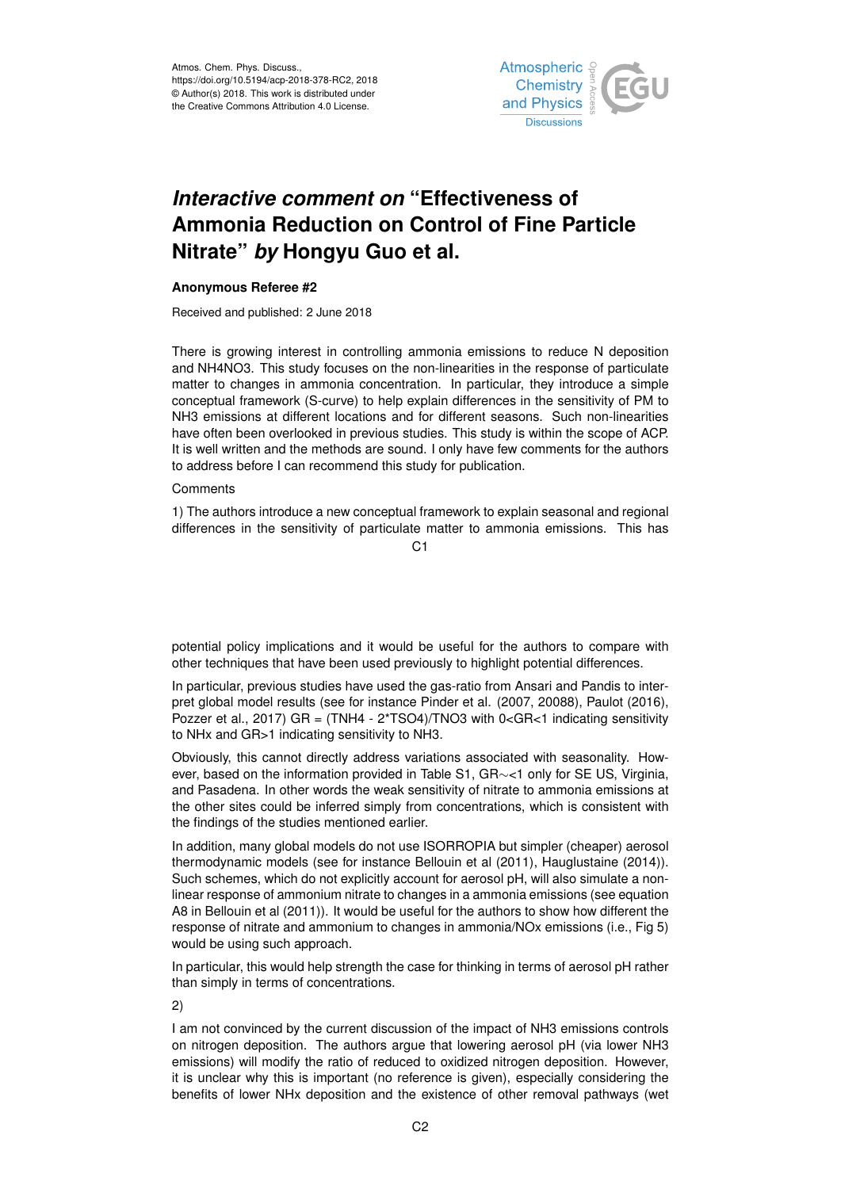

# *Interactive comment on* **"Effectiveness of Ammonia Reduction on Control of Fine Particle Nitrate"** *by* **Hongyu Guo et al.**

## **Anonymous Referee #2**

Received and published: 2 June 2018

There is growing interest in controlling ammonia emissions to reduce N deposition and NH4NO3. This study focuses on the non-linearities in the response of particulate matter to changes in ammonia concentration. In particular, they introduce a simple conceptual framework (S-curve) to help explain differences in the sensitivity of PM to NH3 emissions at different locations and for different seasons. Such non-linearities have often been overlooked in previous studies. This study is within the scope of ACP. It is well written and the methods are sound. I only have few comments for the authors to address before I can recommend this study for publication.

### **Comments**

1) The authors introduce a new conceptual framework to explain seasonal and regional differences in the sensitivity of particulate matter to ammonia emissions. This has

 $C<sub>1</sub>$ 

potential policy implications and it would be useful for the authors to compare with other techniques that have been used previously to highlight potential differences.

In particular, previous studies have used the gas-ratio from Ansari and Pandis to interpret global model results (see for instance Pinder et al. (2007, 20088), Paulot (2016), Pozzer et al., 2017) GR =  $(TNH4 - 2*TSO4)/TNO3$  with 0<GR<1 indicating sensitivity to NHx and GR>1 indicating sensitivity to NH3.

Obviously, this cannot directly address variations associated with seasonality. However, based on the information provided in Table S1, GR∼<1 only for SE US, Virginia, and Pasadena. In other words the weak sensitivity of nitrate to ammonia emissions at the other sites could be inferred simply from concentrations, which is consistent with the findings of the studies mentioned earlier.

In addition, many global models do not use ISORROPIA but simpler (cheaper) aerosol thermodynamic models (see for instance Bellouin et al (2011), Hauglustaine (2014)). Such schemes, which do not explicitly account for aerosol pH, will also simulate a nonlinear response of ammonium nitrate to changes in a ammonia emissions (see equation A8 in Bellouin et al (2011)). It would be useful for the authors to show how different the response of nitrate and ammonium to changes in ammonia/NOx emissions (i.e., Fig 5) would be using such approach.

In particular, this would help strength the case for thinking in terms of aerosol pH rather than simply in terms of concentrations.

2)

I am not convinced by the current discussion of the impact of NH3 emissions controls on nitrogen deposition. The authors argue that lowering aerosol pH (via lower NH3 emissions) will modify the ratio of reduced to oxidized nitrogen deposition. However, it is unclear why this is important (no reference is given), especially considering the benefits of lower NHx deposition and the existence of other removal pathways (wet